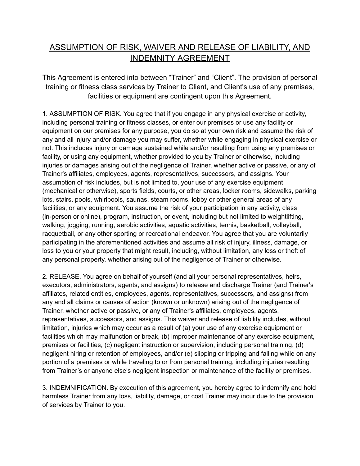## ASSUMPTION OF RISK, WAIVER AND RELEASE OF LIABILITY, AND INDEMNITY AGREEMENT

This Agreement is entered into between "Trainer" and "Client". The provision of personal training or fitness class services by Trainer to Client, and Client's use of any premises, facilities or equipment are contingent upon this Agreement.

1. ASSUMPTION OF RISK. You agree that if you engage in any physical exercise or activity, including personal training or fitness classes, or enter our premises or use any facility or equipment on our premises for any purpose, you do so at your own risk and assume the risk of any and all injury and/or damage you may suffer, whether while engaging in physical exercise or not. This includes injury or damage sustained while and/or resulting from using any premises or facility, or using any equipment, whether provided to you by Trainer or otherwise, including injuries or damages arising out of the negligence of Trainer, whether active or passive, or any of Trainer's affiliates, employees, agents, representatives, successors, and assigns. Your assumption of risk includes, but is not limited to, your use of any exercise equipment (mechanical or otherwise), sports fields, courts, or other areas, locker rooms, sidewalks, parking lots, stairs, pools, whirlpools, saunas, steam rooms, lobby or other general areas of any facilities, or any equipment. You assume the risk of your participation in any activity, class (in-person or online), program, instruction, or event, including but not limited to weightlifting, walking, jogging, running, aerobic activities, aquatic activities, tennis, basketball, volleyball, racquetball, or any other sporting or recreational endeavor. You agree that you are voluntarily participating in the aforementioned activities and assume all risk of injury, illness, damage, or loss to you or your property that might result, including, without limitation, any loss or theft of any personal property, whether arising out of the negligence of Trainer or otherwise.

2. RELEASE. You agree on behalf of yourself (and all your personal representatives, heirs, executors, administrators, agents, and assigns) to release and discharge Trainer (and Trainer's affiliates, related entities, employees, agents, representatives, successors, and assigns) from any and all claims or causes of action (known or unknown) arising out of the negligence of Trainer, whether active or passive, or any of Trainer's affiliates, employees, agents, representatives, successors, and assigns. This waiver and release of liability includes, without limitation, injuries which may occur as a result of (a) your use of any exercise equipment or facilities which may malfunction or break, (b) improper maintenance of any exercise equipment, premises or facilities, (c) negligent instruction or supervision, including personal training, (d) negligent hiring or retention of employees, and/or (e) slipping or tripping and falling while on any portion of a premises or while traveling to or from personal training, including injuries resulting from Trainer's or anyone else's negligent inspection or maintenance of the facility or premises.

3. INDEMNIFICATION. By execution of this agreement, you hereby agree to indemnify and hold harmless Trainer from any loss, liability, damage, or cost Trainer may incur due to the provision of services by Trainer to you.